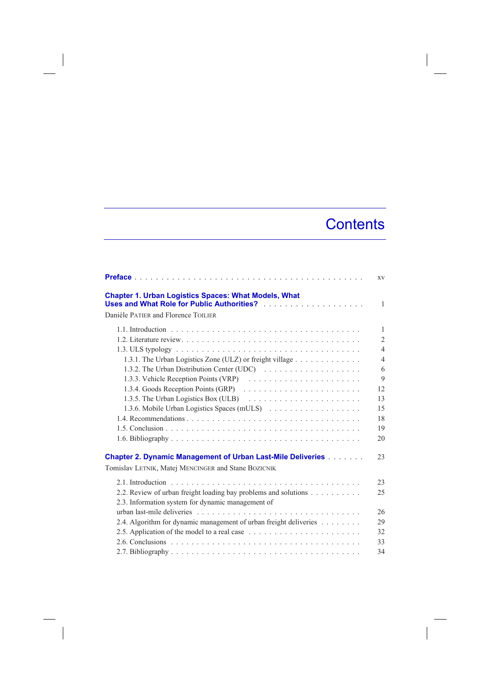## **Contents**

|                                                                                                                           | <b>XV</b>      |
|---------------------------------------------------------------------------------------------------------------------------|----------------|
| <b>Chapter 1. Urban Logistics Spaces: What Models, What</b><br>Danièle PATIER and Florence TOILIER                        | $\mathbf{1}$   |
|                                                                                                                           | 1              |
|                                                                                                                           | $\overline{2}$ |
|                                                                                                                           | $\overline{4}$ |
| 1.3.1. The Urban Logistics Zone (ULZ) or freight village                                                                  | $\overline{4}$ |
|                                                                                                                           | 6              |
|                                                                                                                           | 9              |
|                                                                                                                           | 12             |
| 1.3.5. The Urban Logistics Box (ULB) $\ldots \ldots \ldots \ldots \ldots \ldots$                                          | 13             |
|                                                                                                                           | 15             |
|                                                                                                                           | 18             |
|                                                                                                                           | 19             |
|                                                                                                                           | 20             |
| <b>Chapter 2. Dynamic Management of Urban Last-Mile Deliveries</b><br>Tomislav LETNIK, Matej MENCINGER and Stane BOZICNIK | 23             |
|                                                                                                                           |                |
|                                                                                                                           | 23             |
| 2.2. Review of urban freight loading bay problems and solutions                                                           | 25             |
| 2.3. Information system for dynamic management of                                                                         |                |
|                                                                                                                           | 26             |
| 2.4. Algorithm for dynamic management of urban freight deliveries                                                         | 29             |
|                                                                                                                           | 32             |
|                                                                                                                           | 33             |
|                                                                                                                           | 34             |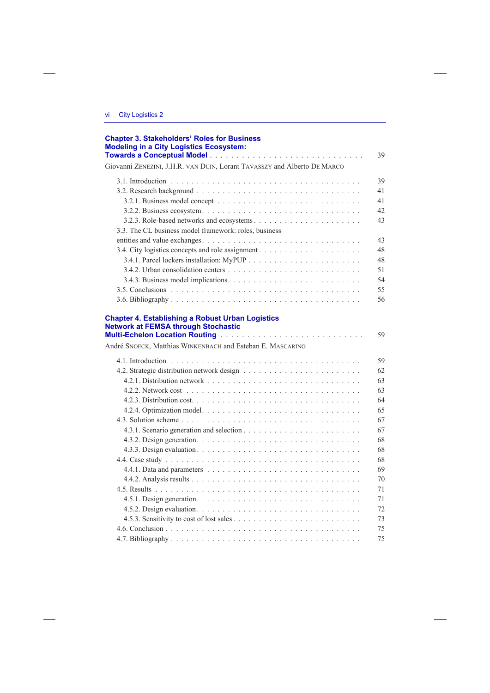$\overline{\phantom{a}}$ 

| <b>Chapter 3. Stakeholders' Roles for Business</b><br><b>Modeling in a City Logistics Ecosystem:</b> |    |
|------------------------------------------------------------------------------------------------------|----|
|                                                                                                      | 39 |
| Giovanni ZENEZINI, J.H.R. VAN DUIN, Lorant TAVASSZY and Alberto DE MARCO                             |    |
|                                                                                                      | 39 |
|                                                                                                      | 41 |
|                                                                                                      | 41 |
|                                                                                                      | 42 |
|                                                                                                      | 43 |
| 3.3. The CL business model framework: roles, business                                                |    |
|                                                                                                      | 43 |
|                                                                                                      | 48 |
|                                                                                                      | 48 |
|                                                                                                      | 51 |
|                                                                                                      | 54 |
|                                                                                                      | 55 |
|                                                                                                      | 56 |
| André SNOECK, Matthias WINKENBACH and Esteban E. MASCARINO                                           |    |
|                                                                                                      | 62 |
|                                                                                                      |    |
|                                                                                                      | 63 |
|                                                                                                      | 64 |
|                                                                                                      | 65 |
|                                                                                                      | 67 |
|                                                                                                      |    |
|                                                                                                      | 68 |
|                                                                                                      | 68 |
|                                                                                                      | 68 |
|                                                                                                      |    |
|                                                                                                      | 70 |
|                                                                                                      |    |
|                                                                                                      |    |
|                                                                                                      |    |
|                                                                                                      |    |
|                                                                                                      |    |
|                                                                                                      | 75 |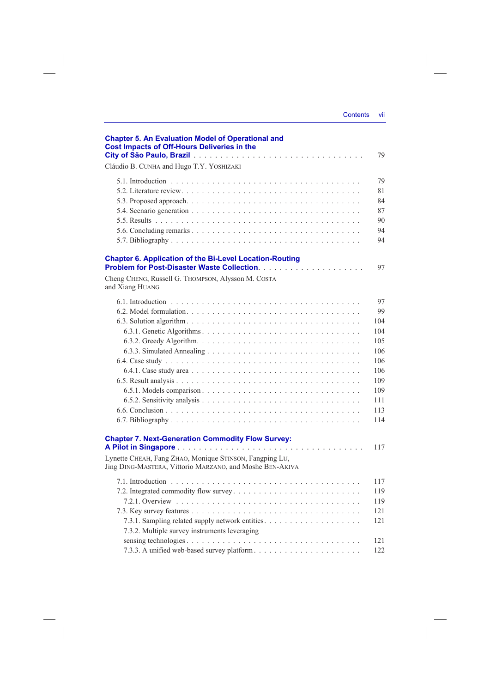| <b>Contents</b> | vii |
|-----------------|-----|
|                 |     |

| <b>Chapter 5. An Evaluation Model of Operational and</b><br><b>Cost Impacts of Off-Hours Deliveries in the</b>                                                                  | 79                                                                                    |
|---------------------------------------------------------------------------------------------------------------------------------------------------------------------------------|---------------------------------------------------------------------------------------|
| Cláudio B. CUNHA and Hugo T.Y. YOSHIZAKI                                                                                                                                        |                                                                                       |
|                                                                                                                                                                                 | 79<br>81<br>84<br>87<br>90<br>94<br>94                                                |
| <b>Chapter 6. Application of the Bi-Level Location-Routing</b><br>Cheng CHENG, Russell G. THOMPSON, Alysson M. COSTA<br>and Xiang HUANG                                         | 97                                                                                    |
|                                                                                                                                                                                 | 97<br>99<br>104<br>104<br>105<br>106<br>106<br>106<br>109<br>109<br>111<br>113<br>114 |
| <b>Chapter 7. Next-Generation Commodity Flow Survey:</b><br>Lynette CHEAH, Fang ZHAO, Monique STINSON, Fangping LU,<br>Jing DING-MASTERA, Vittorio MARZANO, and Moshe BEN-AKIVA | 117                                                                                   |
| 7.3.2. Multiple survey instruments leveraging                                                                                                                                   | 117<br>119<br>119<br>121<br>121<br>121<br>122                                         |

 $\begin{array}{c} \begin{array}{c} \begin{array}{c} \end{array} \\ \begin{array}{c} \end{array} \end{array} \end{array}$ 

 $\sim$   $\pm$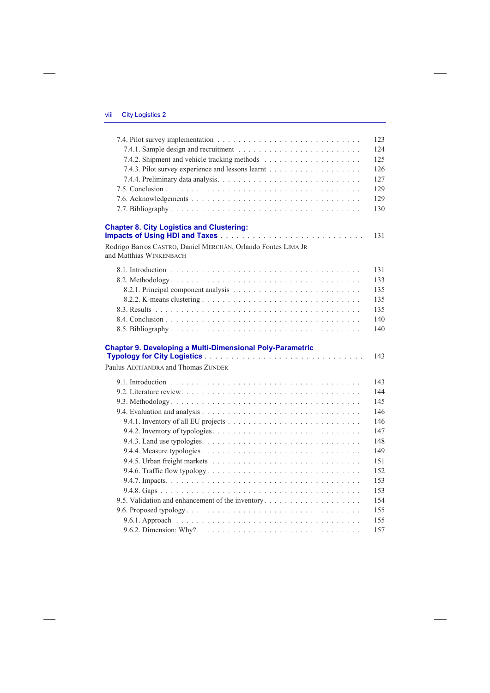| <b>Chapter 8. City Logistics and Clustering:</b><br>Rodrigo Barros CASTRO, Daniel MERCHÁN, Orlando Fontes LIMA JR<br><b>Chapter 9. Developing a Multi-Dimensional Poly-Parametric</b><br>9.4.2. Inventory of typologies. $\dots \dots \dots \dots \dots \dots \dots \dots \dots \dots \dots \dots$ |                                     |  |
|----------------------------------------------------------------------------------------------------------------------------------------------------------------------------------------------------------------------------------------------------------------------------------------------------|-------------------------------------|--|
|                                                                                                                                                                                                                                                                                                    |                                     |  |
|                                                                                                                                                                                                                                                                                                    |                                     |  |
|                                                                                                                                                                                                                                                                                                    |                                     |  |
|                                                                                                                                                                                                                                                                                                    |                                     |  |
|                                                                                                                                                                                                                                                                                                    |                                     |  |
|                                                                                                                                                                                                                                                                                                    |                                     |  |
|                                                                                                                                                                                                                                                                                                    |                                     |  |
|                                                                                                                                                                                                                                                                                                    |                                     |  |
|                                                                                                                                                                                                                                                                                                    |                                     |  |
|                                                                                                                                                                                                                                                                                                    |                                     |  |
|                                                                                                                                                                                                                                                                                                    | and Matthias WINKENBACH             |  |
|                                                                                                                                                                                                                                                                                                    |                                     |  |
|                                                                                                                                                                                                                                                                                                    |                                     |  |
|                                                                                                                                                                                                                                                                                                    |                                     |  |
|                                                                                                                                                                                                                                                                                                    |                                     |  |
|                                                                                                                                                                                                                                                                                                    |                                     |  |
|                                                                                                                                                                                                                                                                                                    |                                     |  |
|                                                                                                                                                                                                                                                                                                    |                                     |  |
|                                                                                                                                                                                                                                                                                                    |                                     |  |
|                                                                                                                                                                                                                                                                                                    |                                     |  |
|                                                                                                                                                                                                                                                                                                    |                                     |  |
|                                                                                                                                                                                                                                                                                                    |                                     |  |
|                                                                                                                                                                                                                                                                                                    |                                     |  |
|                                                                                                                                                                                                                                                                                                    |                                     |  |
|                                                                                                                                                                                                                                                                                                    |                                     |  |
|                                                                                                                                                                                                                                                                                                    |                                     |  |
|                                                                                                                                                                                                                                                                                                    |                                     |  |
|                                                                                                                                                                                                                                                                                                    |                                     |  |
|                                                                                                                                                                                                                                                                                                    |                                     |  |
|                                                                                                                                                                                                                                                                                                    |                                     |  |
|                                                                                                                                                                                                                                                                                                    |                                     |  |
|                                                                                                                                                                                                                                                                                                    |                                     |  |
|                                                                                                                                                                                                                                                                                                    |                                     |  |
|                                                                                                                                                                                                                                                                                                    |                                     |  |
|                                                                                                                                                                                                                                                                                                    |                                     |  |
|                                                                                                                                                                                                                                                                                                    |                                     |  |
|                                                                                                                                                                                                                                                                                                    | Paulus ADITJANDRA and Thomas ZUNDER |  |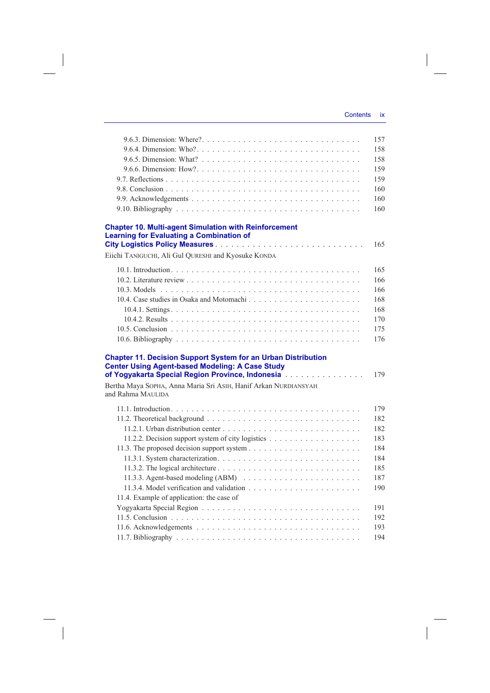|                                                                                                                                                                                                                                                                            | 157 |
|----------------------------------------------------------------------------------------------------------------------------------------------------------------------------------------------------------------------------------------------------------------------------|-----|
|                                                                                                                                                                                                                                                                            | 158 |
|                                                                                                                                                                                                                                                                            | 158 |
|                                                                                                                                                                                                                                                                            | 159 |
|                                                                                                                                                                                                                                                                            | 159 |
|                                                                                                                                                                                                                                                                            | 160 |
|                                                                                                                                                                                                                                                                            | 160 |
|                                                                                                                                                                                                                                                                            | 160 |
| <b>Chapter 10. Multi-agent Simulation with Reinforcement</b><br><b>Learning for Evaluating a Combination of</b>                                                                                                                                                            |     |
|                                                                                                                                                                                                                                                                            | 165 |
| Eiichi TANIGUCHI, Ali Gul QURESHI and Kyosuke KONDA                                                                                                                                                                                                                        |     |
|                                                                                                                                                                                                                                                                            | 165 |
|                                                                                                                                                                                                                                                                            | 166 |
|                                                                                                                                                                                                                                                                            | 166 |
| 10.4. Case studies in Osaka and Motomachi                                                                                                                                                                                                                                  | 168 |
|                                                                                                                                                                                                                                                                            | 168 |
|                                                                                                                                                                                                                                                                            | 170 |
|                                                                                                                                                                                                                                                                            | 175 |
|                                                                                                                                                                                                                                                                            | 176 |
| <b>Chapter 11. Decision Support System for an Urban Distribution</b><br><b>Center Using Agent-based Modeling: A Case Study</b><br>of Yogyakarta Special Region Province, Indonesia<br>Bertha Maya SOPHA, Anna Maria Sri AsiH, Hanif Arkan NURDIANSYAH<br>and Rahma MAULIDA | 179 |
|                                                                                                                                                                                                                                                                            | 179 |
|                                                                                                                                                                                                                                                                            | 182 |
|                                                                                                                                                                                                                                                                            | 182 |
|                                                                                                                                                                                                                                                                            | 183 |
|                                                                                                                                                                                                                                                                            | 184 |
|                                                                                                                                                                                                                                                                            | 184 |
|                                                                                                                                                                                                                                                                            | 185 |
| 11.3.3. Agent-based modeling (ABM)                                                                                                                                                                                                                                         | 187 |
|                                                                                                                                                                                                                                                                            | 190 |
| 11.4. Example of application: the case of                                                                                                                                                                                                                                  |     |
|                                                                                                                                                                                                                                                                            | 191 |
|                                                                                                                                                                                                                                                                            | 192 |
|                                                                                                                                                                                                                                                                            | 193 |
|                                                                                                                                                                                                                                                                            | 194 |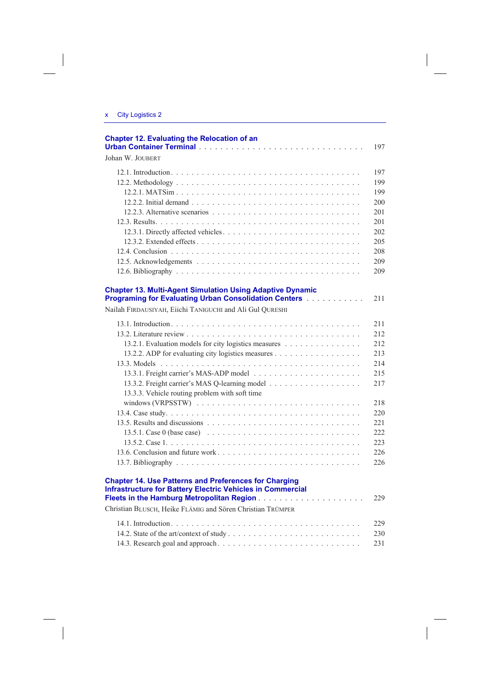$\begin{array}{c} \hline \end{array}$ 

 $\sim$   $\,$   $\,$ 

| <b>Chapter 12. Evaluating the Relocation of an</b>                                                                                                                                                                                                                            | 197                                                                                             |
|-------------------------------------------------------------------------------------------------------------------------------------------------------------------------------------------------------------------------------------------------------------------------------|-------------------------------------------------------------------------------------------------|
| Johan W. JOUBERT                                                                                                                                                                                                                                                              |                                                                                                 |
|                                                                                                                                                                                                                                                                               | 197<br>199<br>199<br>200<br>201<br>201<br>202<br>205<br>208<br>209<br>209                       |
| <b>Chapter 13. Multi-Agent Simulation Using Adaptive Dynamic</b><br><b>Programing for Evaluating Urban Consolidation Centers [19] Linux Linux Linux</b><br>Nailah FIRDAUSIYAH, Eiichi TANIGUCHI and Ali Gul QURESHI                                                           | 211                                                                                             |
| 13.2.1. Evaluation models for city logistics measures<br>13.2.2. ADP for evaluating city logistics measures<br>13.3.3. Vehicle routing problem with soft time<br>13.5. Results and discussions $\ldots \ldots \ldots \ldots \ldots \ldots \ldots \ldots \ldots \ldots \ldots$ | 211<br>212<br>212<br>213<br>214<br>215<br>217<br>218<br>220<br>22.1<br>222<br>223<br>226<br>226 |
| <b>Chapter 14. Use Patterns and Preferences for Charging</b><br><b>Infrastructure for Battery Electric Vehicles in Commercial</b><br>Christian BLUSCH, Heike FLÄMIG and Sören Christian TRÜMPER                                                                               | 229                                                                                             |
|                                                                                                                                                                                                                                                                               | 229<br>230<br>231                                                                               |

 $\overline{\phantom{a}}$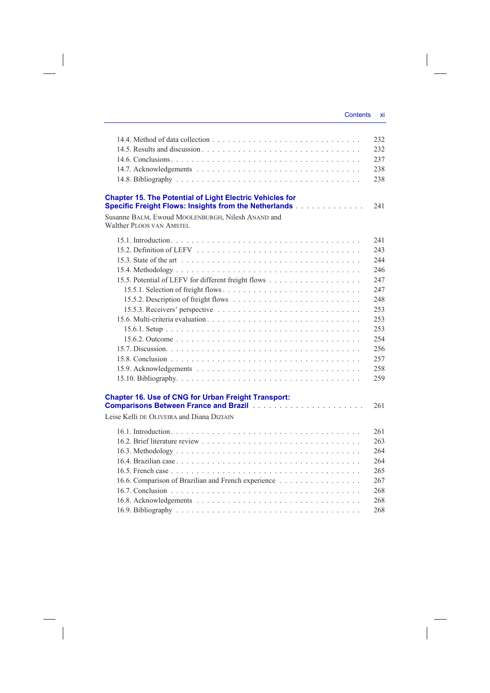|                                                                                                                                 | 232  |
|---------------------------------------------------------------------------------------------------------------------------------|------|
|                                                                                                                                 | 232  |
|                                                                                                                                 | 237  |
|                                                                                                                                 | 238  |
|                                                                                                                                 | 238  |
|                                                                                                                                 |      |
| <b>Chapter 15. The Potential of Light Electric Vehicles for</b><br><b>Specific Freight Flows: Insights from the Netherlands</b> | 2.41 |
| Susanne BALM, Ewoud MOOLENBURGH, Nilesh ANAND and                                                                               |      |
| Walther PLOOS VAN AMSTEL                                                                                                        |      |
|                                                                                                                                 | 2.41 |
|                                                                                                                                 | 243  |
|                                                                                                                                 | 2.44 |
|                                                                                                                                 | 246  |
|                                                                                                                                 | 2.47 |
|                                                                                                                                 | 2.47 |
|                                                                                                                                 | 248  |
|                                                                                                                                 | 253  |
|                                                                                                                                 | 253  |
|                                                                                                                                 | 253  |
|                                                                                                                                 | 254  |
|                                                                                                                                 | 256  |
|                                                                                                                                 | 257  |
|                                                                                                                                 | 258  |
|                                                                                                                                 | 259  |
|                                                                                                                                 |      |
| <b>Chapter 16. Use of CNG for Urban Freight Transport:</b>                                                                      |      |
|                                                                                                                                 | 261  |
| Leise Kelli DE OLIVEIRA and Diana DIZIAIN                                                                                       |      |
|                                                                                                                                 |      |
|                                                                                                                                 | 261  |
|                                                                                                                                 | 263  |
|                                                                                                                                 | 264  |
|                                                                                                                                 | 264  |
|                                                                                                                                 | 265  |
| 16.6. Comparison of Brazilian and French experience                                                                             | 267  |
|                                                                                                                                 | 268  |
|                                                                                                                                 | 268  |
|                                                                                                                                 | 268  |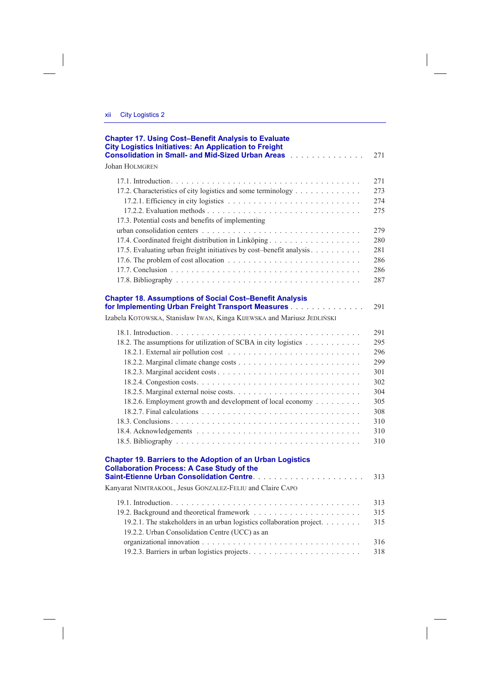| <b>Chapter 17. Using Cost-Benefit Analysis to Evaluate</b><br><b>City Logistics Initiatives: An Application to Freight</b><br><b>Consolidation in Small- and Mid-Sized Urban Areas</b> Alman Are and Alman Area | 271                                                                              |
|-----------------------------------------------------------------------------------------------------------------------------------------------------------------------------------------------------------------|----------------------------------------------------------------------------------|
| <b>Johan HOLMGREN</b>                                                                                                                                                                                           |                                                                                  |
| 17.2. Characteristics of city logistics and some terminology<br>17.3. Potential costs and benefits of implementing<br>17.5. Evaluating urban freight initiatives by cost-benefit analysis                       | 2.71<br>273<br>274<br>275<br>279<br>280<br>281<br>286<br>286<br>287              |
| <b>Chapter 18. Assumptions of Social Cost-Benefit Analysis</b><br>for Implementing Urban Freight Transport Measures<br>Izabela KOTOWSKA, Stanisław IWAN, Kinga KIJEWSKA and Mariusz JEDLIŃSKI                   | 291                                                                              |
| 18.2. The assumptions for utilization of SCBA in city logistics<br>18.2.6. Employment growth and development of local economy                                                                                   | 291<br>295<br>296<br>299<br>301<br>302<br>304<br>305<br>308<br>310<br>310<br>310 |
| <b>Chapter 19. Barriers to the Adoption of an Urban Logistics</b><br><b>Collaboration Process: A Case Study of the</b>                                                                                          | 313                                                                              |
| Kanyarat NIMTRAKOOL, Jesus GONZALEZ-FELIU and Claire CAPO<br>19.2.1. The stakeholders in an urban logistics collaboration project.<br>19.2.2. Urban Consolidation Centre (UCC) as an                            | 313<br>315<br>315<br>316<br>318                                                  |
|                                                                                                                                                                                                                 |                                                                                  |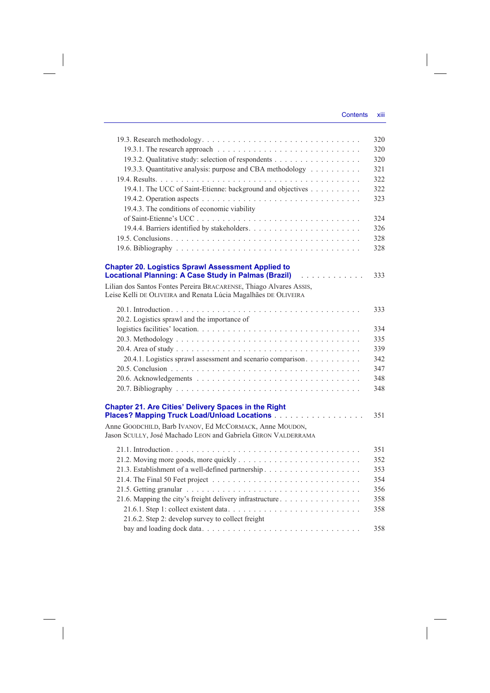## Contents xiii

 $\overline{\phantom{a}}$ 

 $\overline{\phantom{a}}$ 

|                                                                                                                                                                           | 320 |
|---------------------------------------------------------------------------------------------------------------------------------------------------------------------------|-----|
| 19.3.1. The research approach $\ldots \ldots \ldots \ldots \ldots \ldots \ldots \ldots \ldots \ldots$                                                                     | 320 |
| 19.3.2. Qualitative study: selection of respondents                                                                                                                       | 320 |
| 19.3.3. Quantitative analysis: purpose and CBA methodology                                                                                                                | 321 |
|                                                                                                                                                                           | 322 |
| 19.4.1. The UCC of Saint-Etienne: background and objectives                                                                                                               | 322 |
|                                                                                                                                                                           | 323 |
| 19.4.3. The conditions of economic viability                                                                                                                              |     |
|                                                                                                                                                                           | 324 |
|                                                                                                                                                                           | 326 |
|                                                                                                                                                                           | 328 |
|                                                                                                                                                                           | 328 |
|                                                                                                                                                                           |     |
| <b>Chapter 20. Logistics Sprawl Assessment Applied to</b><br>Locational Planning: A Case Study in Palmas (Brazil) [10] National Planning: A Case Study in Palmas (Brazil) | 333 |
| Lilian dos Santos Fontes Pereira BRACARENSE, Thiago Alvares ASSIS,                                                                                                        |     |
| Leise Kelli DE OLIVEIRA and Renata Lúcia Magalhães DE OLIVEIRA                                                                                                            |     |
|                                                                                                                                                                           | 333 |
| 20.2. Logistics sprawl and the importance of                                                                                                                              |     |
|                                                                                                                                                                           | 334 |
|                                                                                                                                                                           | 335 |
|                                                                                                                                                                           | 339 |
| 20.4.1. Logistics sprawl assessment and scenario comparison.                                                                                                              | 342 |
|                                                                                                                                                                           | 347 |
|                                                                                                                                                                           | 348 |
|                                                                                                                                                                           | 348 |
|                                                                                                                                                                           |     |
| <b>Chapter 21. Are Cities' Delivery Spaces in the Right</b>                                                                                                               |     |
| Places? Mapping Truck Load/Unload Locations                                                                                                                               | 351 |
| Anne GOODCHILD, Barb IVANOV, Ed MCCORMACK, Anne MOUDON,                                                                                                                   |     |
| Jason SCULLY, José Machado LEON and Gabriela GIRON VALDERRAMA                                                                                                             |     |
|                                                                                                                                                                           | 351 |
|                                                                                                                                                                           | 352 |
|                                                                                                                                                                           | 353 |
|                                                                                                                                                                           | 354 |
|                                                                                                                                                                           | 356 |
| 21.6. Mapping the city's freight delivery infrastructure                                                                                                                  | 358 |
|                                                                                                                                                                           | 358 |
| 21.6.2. Step 2: develop survey to collect freight                                                                                                                         |     |
|                                                                                                                                                                           | 358 |
|                                                                                                                                                                           |     |

 $\overline{\phantom{a}}$ 

 $\mathcal{L}^{\mathcal{L}}$